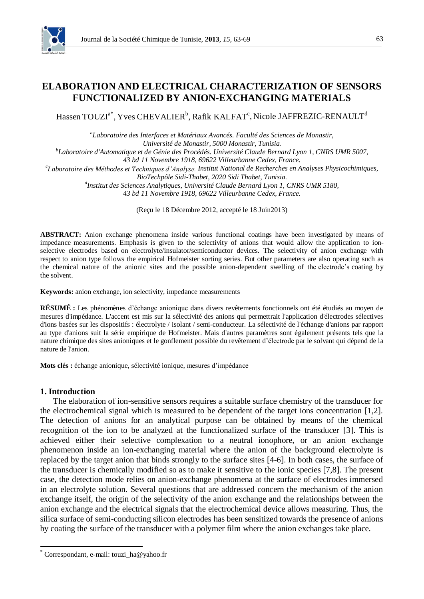

# **ELABORATION AND ELECTRICAL CHARACTERIZATION OF SENSORS FUNCTIONALIZED BY ANION-EXCHANGING MATERIALS**

Hassen TOUZI $^{\mathrm{a}^\ast}$ , Yves CHEVALIER $^{\mathrm{b}}$ , Rafik KALFAT $^{\mathrm{c}}$ , Nicole JAFFREZIC-RENAULT $^{\mathrm{d}}$ 

*a Laboratoire des Interfaces et Matériaux Avancés. Faculté des Sciences de Monastir, Université de Monastir, 5000 Monastir, Tunisia.*

*b Laboratoire d'Automatique et de Génie des Procédés. Université Claude Bernard Lyon 1, CNRS UMR 5007,*

*43 bd 11 Novembre 1918, 69622 Villeurbanne Cedex, France.*

*c Laboratoire des Méthodes et Techniques d'Analyse. Institut National de Recherches en Analyses Physicochimiques,* 

*d Institut des Sciences Analytiques, Université Claude Bernard Lyon 1, CNRS UMR 5180,*

*43 bd 11 Novembre 1918, 69622 Villeurbanne Cedex, France.*

(Reçu le 18 Décembre 2012, accepté le 18 Juin2013)

**ABSTRACT:** Anion exchange phenomena inside various functional coatings have been investigated by means of impedance measurements. Emphasis is given to the selectivity of anions that would allow the application to ionselective electrodes based on electrolyte/insulator/semiconductor devices. The selectivity of anion exchange with respect to anion type follows the empirical Hofmeister sorting series. But other parameters are also operating such as the chemical nature of the anionic sites and the possible anion-dependent swelling of the electrode's coating by the solvent.

**Keywords:** anion exchange, ion selectivity, impedance measurements

**RÉSUMÉ :** Les phénomènes d'échange anionique dans divers revêtements fonctionnels ont été étudiés au moyen de mesures d'impédance. L'accent est mis sur la sélectivité des anions qui permettrait l'application d'électrodes sélectives d'ions basées sur les dispositifs : électrolyte / isolant / semi-conducteur. La sélectivité de l'échange d'anions par rapport au type d'anions suit la série empirique de Hofmeister. Mais d'autres paramètres sont également présents tels que la nature chimique des sites anioniques et le gonflement possible du revêtement d'électrode par le solvant qui dépend de la nature de l'anion.

**Mots clés :** échange anionique, sélectivité ionique, mesures d'impédance

# **1. Introduction**

 $\overline{a}$ 

The elaboration of ion-sensitive sensors requires a suitable surface chemistry of the transducer for the electrochemical signal which is measured to be dependent of the target ions concentration [1,2]. The detection of anions for an analytical purpose can be obtained by means of the chemical recognition of the ion to be analyzed at the functionalized surface of the transducer [3]. This is achieved either their selective complexation to a neutral ionophore, or an anion exchange phenomenon inside an ion-exchanging material where the anion of the background electrolyte is replaced by the target anion that binds strongly to the surface sites [4-6]. In both cases, the surface of the transducer is chemically modified so as to make it sensitive to the ionic species [7,8]. The present case, the detection mode relies on anion-exchange phenomena at the surface of electrodes immersed in an electrolyte solution. Several questions that are addressed concern the mechanism of the anion exchange itself, the origin of the selectivity of the anion exchange and the relationships between the anion exchange and the electrical signals that the electrochemical device allows measuring. Thus, the silica surface of semi-conducting silicon electrodes has been sensitized towards the presence of anions by coating the surface of the transducer with a polymer film where the anion exchanges take place.

*BioTechpôle Sidi-Thabet, 2020 Sidi Thabet, Tunisia.*

<sup>\*</sup> Correspondant, e-mail: touzi\_ha@yahoo.fr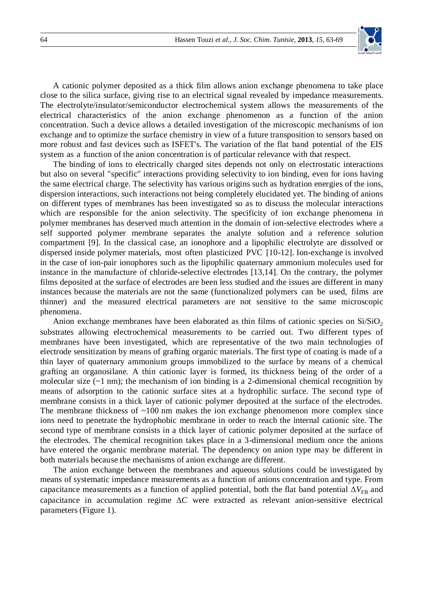

A cationic polymer deposited as a thick film allows anion exchange phenomena to take place close to the silica surface, giving rise to an electrical signal revealed by impedance measurements. The electrolyte/insulator/semiconductor electrochemical system allows the measurements of the electrical characteristics of the anion exchange phenomenon as a function of the anion concentration. Such a device allows a detailed investigation of the microscopic mechanisms of ion exchange and to optimize the surface chemistry in view of a future transposition to sensors based on more robust and fast devices such as ISFET's. The variation of the flat band potential of the EIS system as a function of the anion concentration is of particular relevance with that respect.

The binding of ions to electrically charged sites depends not only on electrostatic interactions but also on several "specific" interactions providing selectivity to ion binding, even for ions having the same electrical charge. The selectivity has various origins such as hydration energies of the ions, dispersion interactions, such interactions not being completely elucidated yet. The binding of anions on different types of membranes has been investigated so as to discuss the molecular interactions which are responsible for the anion selectivity. The specificity of ion exchange phenomena in polymer membranes has deserved much attention in the domain of ion-selective electrodes where a self supported polymer membrane separates the analyte solution and a reference solution compartment [9]. In the classical case, an ionophore and a lipophilic electrolyte are dissolved or dispersed inside polymer materials, most often plasticized PVC [10-12]. Ion-exchange is involved in the case of ion-pair ionophores such as the lipophilic quaternary ammonium molecules used for instance in the manufacture of chloride-selective electrodes [13,14]. On the contrary, the polymer films deposited at the surface of electrodes are been less studied and the issues are different in many instances because the materials are not the same (functionalized polymers can be used, films are thinner) and the measured electrical parameters are not sensitive to the same microscopic phenomena.

Anion exchange membranes have been elaborated as thin films of cationic species on  $Si/SiO<sub>2</sub>$ substrates allowing electrochemical measurements to be carried out. Two different types of membranes have been investigated, which are representative of the two main technologies of electrode sensitization by means of grafting organic materials. The first type of coating is made of a thin layer of quaternary ammonium groups immobilized to the surface by means of a chemical grafting an organosilane. A thin cationic layer is formed, its thickness being of the order of a molecular size  $(-1)$  nm); the mechanism of ion binding is a 2-dimensional chemical recognition by means of adsorption to the cationic surface sites at a hydrophilic surface. The second type of membrane consists in a thick layer of cationic polymer deposited at the surface of the electrodes. The membrane thickness of  $\sim$ 100 nm makes the ion exchange phenomenon more complex since ions need to penetrate the hydrophobic membrane in order to reach the internal cationic site. The second type of membrane consists in a thick layer of cationic polymer deposited at the surface of the electrodes. The chemical recognition takes place in a 3-dimensional medium once the anions have entered the organic membrane material. The dependency on anion type may be different in both materials because the mechanisms of anion exchange are different.

The anion exchange between the membranes and aqueous solutions could be investigated by means of systematic impedance measurements as a function of anions concentration and type. From capacitance measurements as a function of applied potential, both the flat band potential  $\Delta V_{\text{FB}}$  and capacitance in accumulation regime ∆*C* were extracted as relevant anion-sensitive electrical parameters (Figure 1).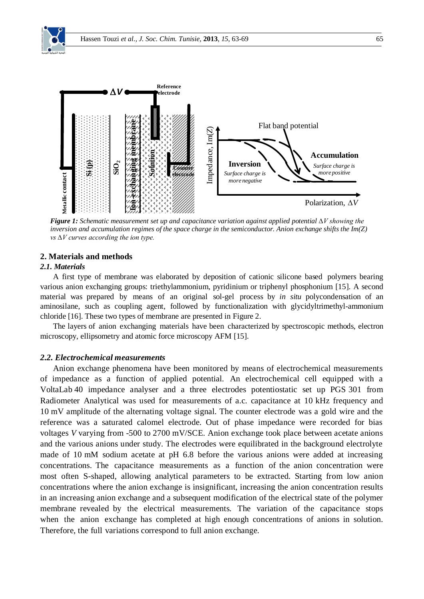

*Figure 1: Schematic measurement set up and capacitance variation against applied potential ∆V showing the inversion and accumulation regimes of the space charge in the semiconductor. Anion exchange shifts the Im(Z) vs ∆V curves according the ion type.*

## **2. Materials and methods**

#### *2.1. Materials*

A first type of membrane was elaborated by deposition of cationic silicone based polymers bearing various anion exchanging groups: triethylammonium, pyridinium or triphenyl phosphonium [15]. A second material was prepared by means of an original sol-gel process by *in situ* polycondensation of an aminosilane, such as coupling agent, followed by functionalization with glycidyltrimethyl-ammonium chloride [16]. These two types of membrane are presented in Figure 2.

The layers of anion exchanging materials have been characterized by spectroscopic methods, electron microscopy, ellipsometry and atomic force microscopy AFM [15].

# *2.2. Electrochemical measurements*

Anion exchange phenomena have been monitored by means of electrochemical measurements of impedance as a function of applied potential. An electrochemical cell equipped with a VoltaLab 40 impedance analyser and a three electrodes potentiostatic set up PGS 301 from Radiometer Analytical was used for measurements of a.c. capacitance at 10 kHz frequency and 10 mV amplitude of the alternating voltage signal. The counter electrode was a gold wire and the reference was a saturated calomel electrode. Out of phase impedance were recorded for bias voltages *V* varying from -500 to 2700 mV/SCE. Anion exchange took place between acetate anions and the various anions under study. The electrodes were equilibrated in the background electrolyte made of 10 mM sodium acetate at pH 6.8 before the various anions were added at increasing concentrations. The capacitance measurements as a function of the anion concentration were most often S-shaped, allowing analytical parameters to be extracted. Starting from low anion concentrations where the anion exchange is insignificant, increasing the anion concentration results in an increasing anion exchange and a subsequent modification of the electrical state of the polymer membrane revealed by the electrical measurements. The variation of the capacitance stops when the anion exchange has completed at high enough concentrations of anions in solution. Therefore, the full variations correspond to full anion exchange.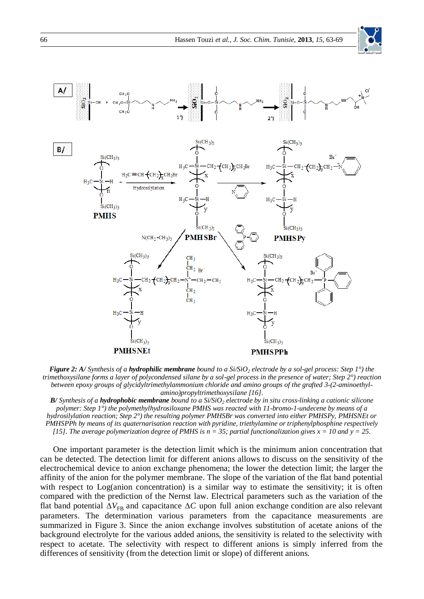



*Figure 2: A/ Synthesis of a hydrophilic membrane bound to a Si/SiO<sup>2</sup> electrode by a sol-gel process: Step 1°) the trimethoxysilane forms a layer of polycondensed silane by a sol-gel process in the presence of water; Step 2°) reaction between epoxy groups of glycidyltrimethylammonium chloride and amino groups of the grafted 3-(2-aminoethylamino)propyltrimethoxysilane [16].*

*B/ Synthesis of a hydrophobic membrane bound to a Si/SiO<sup>2</sup> electrode by in situ cross-linking a cationic silicone polymer: Step 1°) the polymethylhydrosiloxane PMHS was reacted with 11-bromo-1-undecene by means of a hydrosilylation reaction; Step 2°) the resulting polymer PMHSBr was converted into either PMHSPy, PMHSNEt or PMHSPPh by means of its quaternarisation reaction with pyridine, triethylamine or triphenylphosphine respectively [15]. The average polymerization degree of PMHS is n = 35; partial functionalization gives x = 10 and y = 25.*

One important parameter is the detection limit which is the minimum anion concentration that can be detected. The detection limit for different anions allows to discuss on the sensitivity of the electrochemical device to anion exchange phenomena; the lower the detection limit; the larger the affinity of the anion for the polymer membrane. The slope of the variation of the flat band potential with respect to Log(anion concentration) is a similar way to estimate the sensitivity; it is often compared with the prediction of the Nernst law. Electrical parameters such as the variation of the flat band potential  $\Delta V_{FB}$  and capacitance  $\Delta C$  upon full anion exchange condition are also relevant parameters. The determination various parameters from the capacitance measurements are summarized in Figure 3. Since the anion exchange involves substitution of acetate anions of the background electrolyte for the various added anions, the sensitivity is related to the selectivity with respect to acetate. The selectivity with respect to different anions is simply inferred from the differences of sensitivity (from the detection limit or slope) of different anions.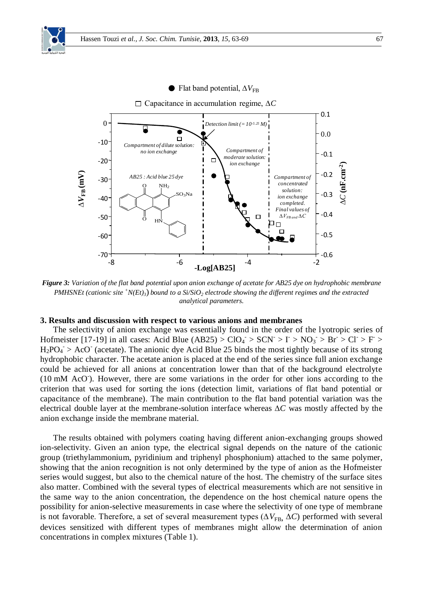

*Figure 3: Variation of the flat band potential upon anion exchange of acetate for AB25 dye on hydrophobic membrane PMHSNEt* (cationic site  ${}^+N(Et)$ ) bound to a Si/SiO<sub>2</sub> electrode showing the different regimes and the extracted *analytical parameters.* 

#### **3. Results and discussion with respect to various anions and membranes**

The selectivity of anion exchange was essentially found in the order of the lyotropic series of Hofmeister [17-19] in all cases: Acid Blue (AB25) >  $ClO_4$  >  $SCN$  >  $I > NO_3$  > Br >  $Cl$  > F >  $H_2PO_4$  > AcO<sup>-</sup> (acetate). The anionic dye Acid Blue 25 binds the most tightly because of its strong hydrophobic character. The acetate anion is placed at the end of the series since full anion exchange could be achieved for all anions at concentration lower than that of the background electrolyte (10 mM AcO). However, there are some variations in the order for other ions according to the criterion that was used for sorting the ions (detection limit, variations of flat band potential or capacitance of the membrane). The main contribution to the flat band potential variation was the electrical double layer at the membrane-solution interface whereas ∆*C* was mostly affected by the anion exchange inside the membrane material.

The results obtained with polymers coating having different anion-exchanging groups showed ion-selectivity. Given an anion type, the electrical signal depends on the nature of the cationic group (triethylammonium, pyridinium and triphenyl phosphonium) attached to the same polymer, showing that the anion recognition is not only determined by the type of anion as the Hofmeister series would suggest, but also to the chemical nature of the host. The chemistry of the surface sites also matter. Combined with the several types of electrical measurements which are not sensitive in the same way to the anion concentration, the dependence on the host chemical nature opens the possibility for anion-selective measurements in case where the selectivity of one type of membrane is not favorable. Therefore, a set of several measurement types ( $\Delta V_{FB}$ ,  $\Delta C$ ) performed with several devices sensitized with different types of membranes might allow the determination of anion concentrations in complex mixtures (Table 1).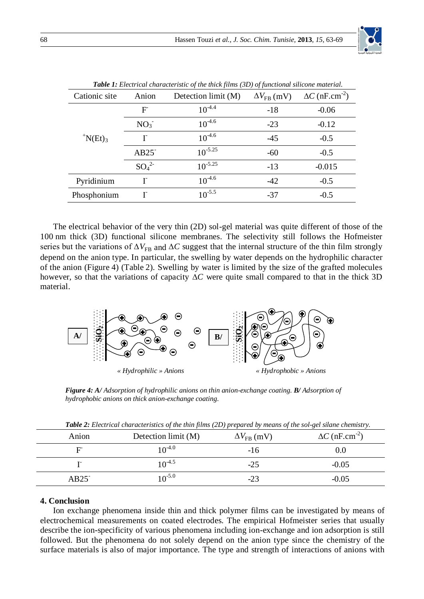|                      |                              | $\cdot$<br>$\cdot$  | J J                      |                                   |
|----------------------|------------------------------|---------------------|--------------------------|-----------------------------------|
| Cationic site        | Anion                        | Detection limit (M) | $\Delta V_{\rm FB}$ (mV) | $\Delta C$ (nF.cm <sup>-2</sup> ) |
|                      | F                            | $10^{-4.4}$         | $-18$                    | $-0.06$                           |
|                      | NO <sub>3</sub>              | $10^{-4.6}$         | $-23$                    | $-0.12$                           |
| $\mathrm{N}(Et)_{3}$ |                              | $10^{-4.6}$         | $-45$                    | $-0.5$                            |
|                      | $AB25$ <sup>-</sup>          | $10^{-5.25}$        | $-60$                    | $-0.5$                            |
|                      | SO <sub>4</sub> <sup>2</sup> | $10^{-5.25}$        | $-13$                    | $-0.015$                          |
| Pyridinium           |                              | $10^{-4.6}$         | $-42$                    | $-0.5$                            |
| Phosphonium          |                              | $10^{-5.5}$         | $-37$                    | $-0.5$                            |

*Table 1: Electrical characteristic of the thick films (3D) of functional silicone material.*

The electrical behavior of the very thin (2D) sol-gel material was quite different of those of the 100 nm thick (3D) functional silicone membranes. The selectivity still follows the Hofmeister series but the variations of  $\Delta V_{\text{FR}}$  and  $\Delta C$  suggest that the internal structure of the thin film strongly depend on the anion type. In particular, the swelling by water depends on the hydrophilic character of the anion (Figure 4) (Table 2). Swelling by water is limited by the size of the grafted molecules however, so that the variations of capacity ∆*C* were quite small compared to that in the thick 3D material.



*Figure 4: A/ Adsorption of hydrophilic anions on thin anion-exchange coating. B/ Adsorption of hydrophobic anions on thick anion-exchange coating.*

|               | « Hydrophilic » Anions                                                                                                                                | « Hydrophobic » Anions   |                                   |  |
|---------------|-------------------------------------------------------------------------------------------------------------------------------------------------------|--------------------------|-----------------------------------|--|
|               | Figure 4: A/ Adsorption of hydrophilic anions on thin anion-exchange coating. B/ Adsorption of<br>hydrophobic anions on thick anion-exchange coating. |                          |                                   |  |
|               |                                                                                                                                                       |                          |                                   |  |
|               | Table 2: Electrical characteristics of the thin films (2D) prepared by means of the sol-gel silane chemistry.                                         |                          |                                   |  |
| Anion         | Detection limit (M)                                                                                                                                   | $\Delta V_{\rm FB}$ (mV) | $\Delta C$ (nF.cm <sup>-2</sup> ) |  |
| F             | $10^{-4.0}$                                                                                                                                           | $-16$                    | 0.0                               |  |
| $\mathbf{I}$  | $10^{-4.5}$                                                                                                                                           | $-25$                    | $-0.05$                           |  |
| AB25          | $10^{-5.0}$                                                                                                                                           | $-23$                    | $-0.05$                           |  |
|               |                                                                                                                                                       |                          |                                   |  |
| 4. Conclusion |                                                                                                                                                       |                          |                                   |  |

*Table 2: Electrical characteristics of the thin films (2D) prepared by means of the sol-gel silane chemistry.*

# **4. Conclusion**